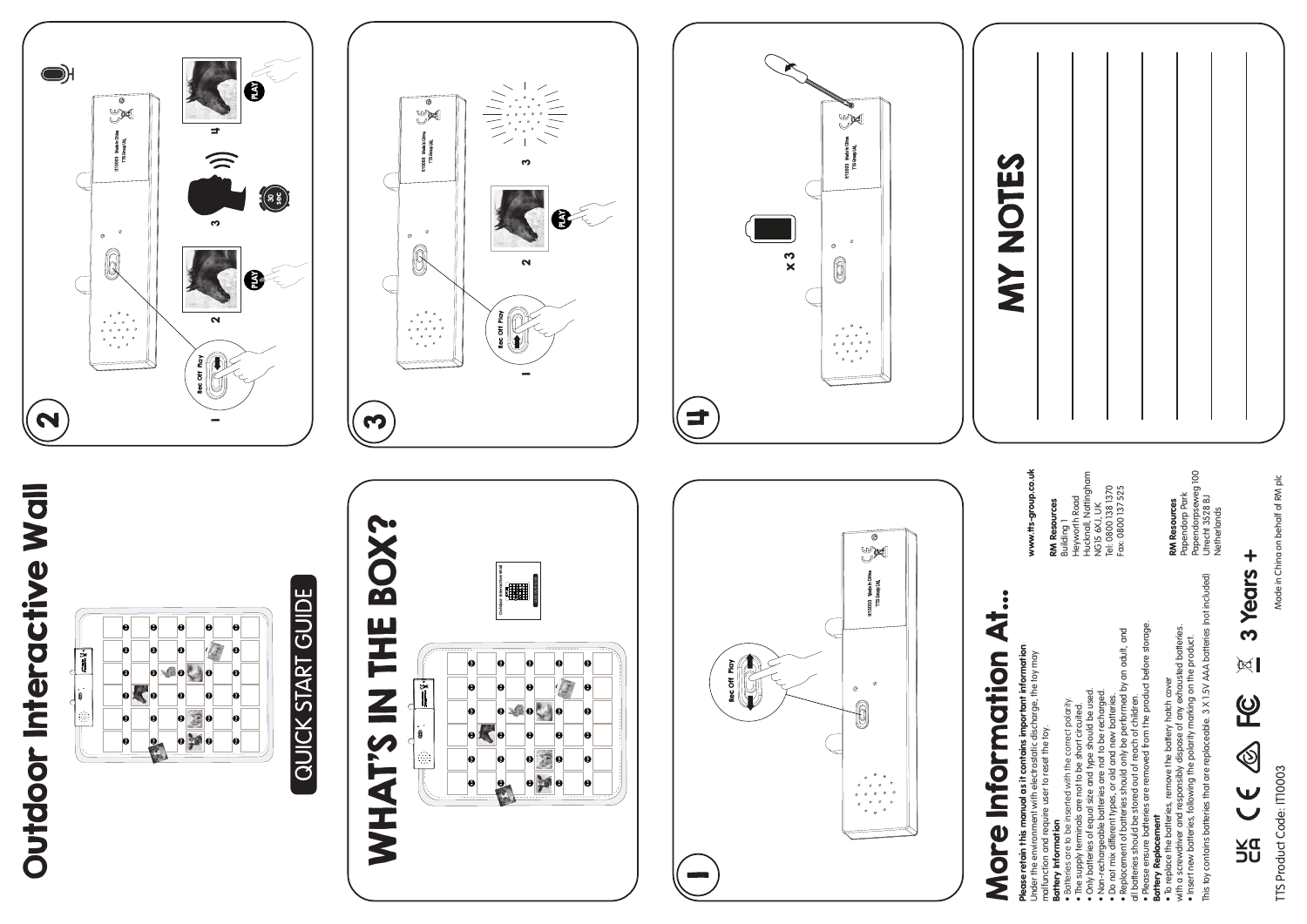# Outdoor Interactive Wall Outdoor Interactive Wall



# QUICK START GUIDE





### $\ddot{\cdot}$ More Information At...  $\overline{\overline{\overline{A}}}$ More Information

**Please retain this manual as it contains important information**<br>Under the environment with electrostatic discharge, the toy may<br>malfunction and require user to reset the toy.<br>**Bartery Information** Please retain this manual as it contains important information Under the environment with electrostatic discharge, the toy may malfunction and require user to reset the toy.

www.tts-group.co.uk RM Resources

www.tts-group.co.uk

**RM Resources**<br>Building 1<br>Heyworth Road<br>Hucknall, Notfingham<br>Tel: 0800 138 1370<br>Tel: 0800 138 1370<br>Fax: 0800 137 525 Heyworth Road Hucknall, Nottingham NG15 6XJ, UK Tel: 0800 138 1370 Fax: 0800 137 525

Battery Information • Batteries are to be inserted with the correct polarity.

• The supply terminals are not to be short circuited.

• Only batteries of equal size and type should be used.

• Non-rechargeable batteries are not to be recharged. • Do not mix different types, or old and new batteries.

• Replacement of batteries should only be performed by an adult, and

• But we can be inserted with the correct polarity.<br>• The supply terminals are not to be short circuited.<br>• The supply terminals are not to be short circuited.<br>• Nony batteries of epaid size and type should be used.<br>• No n all batteries should be stored out of reach of children.

• Please ensure batteries are removed from the product before storage. Battery Replacement

• Please ess are batue sore a ou or or an interaction in the product before stronge.<br>**Battery Replacement**<br>• To replace the batteries, removed from the product before stronge.<br>• To replace the batteries, removed by dispose with a screwdriver and responsibly dispose of any exhausted batteries. • Insert new batteries, following the polarity marking on the product. • To replace the batteries, remove the battery hatch cover

This toy contains batteries that are replaceable. 3 X 1.5V AAA batteries (not included)

**RM Resources**<br>Papendorp Park<br>Papendorpseweg 100<br>Utrecht 3528 BJ<br>Netherlands Papendorpseweg 100 Papendorp Park Utrecht 3528 BJ **Netherlands** 

RM Resources

 $\ddot{}$ **3 Years +** 3 Years

 $\mathbb{R}$ 

<u>ဖု</u>

UK C€ ®

Made in China on behalf of RM plc Made in China on behalf of RM plc

TTS Product Code: IT10003

TTS Product Code: IT10003







## **MY NOTES**